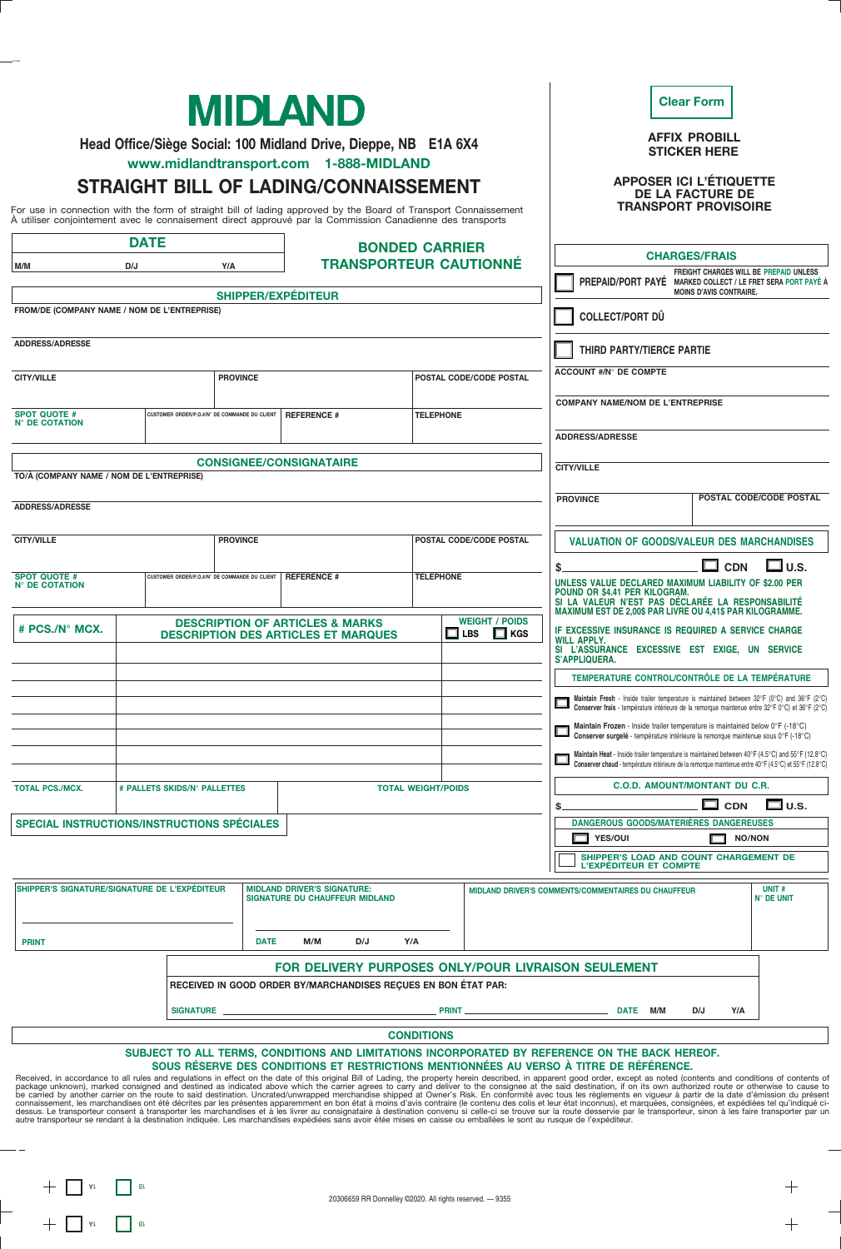| <b>MIDLAND</b><br>Head Office/Siège Social: 100 Midland Drive, Dieppe, NB E1A 6X4             |                                                                                                                                                                                                                                                                                                                        |                                                                                                                                               |                                                                      |                           |                                                                                                                             | <b>Clear Form</b><br><b>AFFIX PROBILL</b><br><b>STICKER HERE</b>                                                                                                                                                                                                                                                     |                         |                                   |  |
|-----------------------------------------------------------------------------------------------|------------------------------------------------------------------------------------------------------------------------------------------------------------------------------------------------------------------------------------------------------------------------------------------------------------------------|-----------------------------------------------------------------------------------------------------------------------------------------------|----------------------------------------------------------------------|---------------------------|-----------------------------------------------------------------------------------------------------------------------------|----------------------------------------------------------------------------------------------------------------------------------------------------------------------------------------------------------------------------------------------------------------------------------------------------------------------|-------------------------|-----------------------------------|--|
|                                                                                               | www.midlandtransport.com 1-888-MIDLAND<br><b>STRAIGHT BILL OF LADING/CONNAISSEMENT</b><br>For use in connection with the form of straight bill of lading approved by the Board of Transport Connaissement<br>À utiliser conjointement avec le connaisement direct approuvé par la Commission Canadienne des transports |                                                                                                                                               |                                                                      |                           |                                                                                                                             | <b>APPOSER ICI L'ÉTIQUETTE</b><br><b>TRANSPORT PROVISOIRE</b>                                                                                                                                                                                                                                                        | <b>DE LA FACTURE DE</b> |                                   |  |
| <b>DATE</b><br><b>BONDED CARRIER</b>                                                          |                                                                                                                                                                                                                                                                                                                        |                                                                                                                                               |                                                                      |                           |                                                                                                                             |                                                                                                                                                                                                                                                                                                                      |                         |                                   |  |
| M/M                                                                                           |                                                                                                                                                                                                                                                                                                                        | <b>TRANSPORTEUR CAUTIONNÉ</b>                                                                                                                 |                                                                      |                           | <b>CHARGES/FRAIS</b><br>FREIGHT CHARGES WILL BE PREPAID UNLESS                                                              |                                                                                                                                                                                                                                                                                                                      |                         |                                   |  |
| <b>SHIPPER/EXPÉDITEUR</b>                                                                     |                                                                                                                                                                                                                                                                                                                        |                                                                                                                                               |                                                                      |                           |                                                                                                                             | PREPAID/PORT PAYE MARKED COLLECT / LE FRET SERA PORT PAYÉ À<br><b>MOINS D'AVIS CONTRAIRE.</b>                                                                                                                                                                                                                        |                         |                                   |  |
|                                                                                               | FROM/DE (COMPANY NAME / NOM DE L'ENTREPRISE)                                                                                                                                                                                                                                                                           |                                                                                                                                               |                                                                      |                           |                                                                                                                             | <b>COLLECT/PORT DÛ</b>                                                                                                                                                                                                                                                                                               |                         |                                   |  |
|                                                                                               |                                                                                                                                                                                                                                                                                                                        |                                                                                                                                               |                                                                      |                           |                                                                                                                             |                                                                                                                                                                                                                                                                                                                      |                         |                                   |  |
| <b>ADDRESS/ADRESSE</b>                                                                        |                                                                                                                                                                                                                                                                                                                        |                                                                                                                                               |                                                                      |                           |                                                                                                                             | <b>THIRD PARTY/TIERCE PARTIE</b>                                                                                                                                                                                                                                                                                     |                         |                                   |  |
| <b>PROVINCE</b><br><b>CITY/VILLE</b>                                                          |                                                                                                                                                                                                                                                                                                                        |                                                                                                                                               |                                                                      |                           | POSTAL CODE/CODE POSTAL                                                                                                     | <b>ACCOUNT #/N° DE COMPTE</b>                                                                                                                                                                                                                                                                                        |                         |                                   |  |
| <b>SPOT QUOTE #</b><br>CUSTOMER ORDER/P.O.#/N° DE COMMANDE DU CLIENT                          |                                                                                                                                                                                                                                                                                                                        | <b>REFERENCE #</b>                                                                                                                            |                                                                      | <b>TELEPHONE</b>          |                                                                                                                             | <b>COMPANY NAME/NOM DE L'ENTREPRISE</b>                                                                                                                                                                                                                                                                              |                         |                                   |  |
| <b>N° DE COTATION</b>                                                                         |                                                                                                                                                                                                                                                                                                                        |                                                                                                                                               |                                                                      |                           |                                                                                                                             | <b>ADDRESS/ADRESSE</b>                                                                                                                                                                                                                                                                                               |                         |                                   |  |
|                                                                                               |                                                                                                                                                                                                                                                                                                                        |                                                                                                                                               |                                                                      |                           |                                                                                                                             |                                                                                                                                                                                                                                                                                                                      |                         |                                   |  |
| <b>CONSIGNEE/CONSIGNATAIRE</b><br>TO/À (COMPANY NAME / NOM DE L'ENTREPRISE)                   |                                                                                                                                                                                                                                                                                                                        |                                                                                                                                               |                                                                      |                           |                                                                                                                             | <b>CITY/VILLE</b>                                                                                                                                                                                                                                                                                                    |                         |                                   |  |
| <b>ADDRESS/ADRESSE</b>                                                                        |                                                                                                                                                                                                                                                                                                                        |                                                                                                                                               |                                                                      |                           |                                                                                                                             | <b>PROVINCE</b>                                                                                                                                                                                                                                                                                                      |                         | POSTAL CODE/CODE POSTAL           |  |
| <b>CITY/VILLE</b>                                                                             | <b>PROVINCE</b>                                                                                                                                                                                                                                                                                                        |                                                                                                                                               |                                                                      |                           | POSTAL CODE/CODE POSTAL                                                                                                     | <b>VALUATION OF GOODS/VALEUR DES MARCHANDISES</b>                                                                                                                                                                                                                                                                    |                         |                                   |  |
|                                                                                               |                                                                                                                                                                                                                                                                                                                        |                                                                                                                                               |                                                                      |                           |                                                                                                                             |                                                                                                                                                                                                                                                                                                                      |                         |                                   |  |
| <b>SPOT QUOTE #</b><br>CUSTOMER ORDER/P.O.#/N° DE COMMANDE DU CLIENT<br><b>N° DE COTATION</b> |                                                                                                                                                                                                                                                                                                                        | <b>REFERENCE #</b>                                                                                                                            |                                                                      | <b>TELEPHONE</b>          |                                                                                                                             | $\square$ cdn<br>⊟us<br>UNLESS VALUE DECLARED MAXIMUM LIABILITY OF \$2.00 PER<br>POUND OR \$4.41 PER KILOGRAM.<br>SI LA VALEUR N'EST PAS DÉCLARÉE LA RESPONSABILITÉ<br><b>MAXIMUM EST DE 2,00\$ PAR LIVRE OU 4,41\$ PAR KILOGRAMME.</b>                                                                              |                         |                                   |  |
| # PCS./N° MCX.                                                                                |                                                                                                                                                                                                                                                                                                                        | <b>WEIGHT / POIDS</b><br><b>DESCRIPTION OF ARTICLES &amp; MARKS</b><br>$\Box$ LBS<br>$\Box$ KGS<br><b>DESCRIPTION DES ARTICLES ET MARQUES</b> |                                                                      |                           | IF EXCESSIVE INSURANCE IS REQUIRED A SERVICE CHARGE<br><b>WILL APPLY.</b><br>SI L'ASSURANCE EXCESSIVE EST EXIGE, UN SERVICE |                                                                                                                                                                                                                                                                                                                      |                         |                                   |  |
|                                                                                               |                                                                                                                                                                                                                                                                                                                        |                                                                                                                                               |                                                                      |                           |                                                                                                                             | S'APPLIQUERA.<br>TEMPERATURE CONTROL/CONTRÔLE DE LA TEMPÉRATURE                                                                                                                                                                                                                                                      |                         |                                   |  |
|                                                                                               |                                                                                                                                                                                                                                                                                                                        |                                                                                                                                               |                                                                      |                           |                                                                                                                             | <b>Maintain Fresh</b> - Inside trailer temperature is maintained between $32^{\circ}F$ (0°C) and $36^{\circ}F$ (2°C)<br>Conserver frais - température intérieure de la remorque maintenue entre 32°F 0°C) et 36°F (2°C)                                                                                              |                         |                                   |  |
|                                                                                               |                                                                                                                                                                                                                                                                                                                        |                                                                                                                                               |                                                                      |                           |                                                                                                                             | Maintain Frozen - Inside trailer temperature is maintained below 0°F (-18°C)<br>Conserver surgelé - température intérieure la remorque maintenue sous 0°F (-18°C)                                                                                                                                                    |                         |                                   |  |
|                                                                                               |                                                                                                                                                                                                                                                                                                                        |                                                                                                                                               |                                                                      |                           |                                                                                                                             | Maintain Heat - Inside trailer temperature is maintained between 40°F (4.5°C) and 55°F (12.8°C)<br>Conserver chaud - température intérieure de la remorque maintenue entre 40°F (4.5°C) et 55°F (12.8°C)                                                                                                             |                         |                                   |  |
| <b>TOTAL PCS./MCX.</b>                                                                        | # PALLETS SKIDS/N° PALLETTES                                                                                                                                                                                                                                                                                           |                                                                                                                                               |                                                                      | <b>TOTAL WEIGHT/POIDS</b> |                                                                                                                             | <b>C.O.D. AMOUNT/MONTANT DU C.R.</b>                                                                                                                                                                                                                                                                                 |                         |                                   |  |
|                                                                                               |                                                                                                                                                                                                                                                                                                                        |                                                                                                                                               |                                                                      |                           | □ u.s.<br>$\square$ con<br>\$                                                                                               |                                                                                                                                                                                                                                                                                                                      |                         |                                   |  |
| SPECIAL INSTRUCTIONS/INSTRUCTIONS SPÉCIALES                                                   |                                                                                                                                                                                                                                                                                                                        |                                                                                                                                               |                                                                      |                           |                                                                                                                             | DANGEROUS GOODS/MATERIÈRES DANGEREUSES<br><b>NO/NON</b><br>$\Box$ YES/OUI                                                                                                                                                                                                                                            |                         |                                   |  |
|                                                                                               |                                                                                                                                                                                                                                                                                                                        |                                                                                                                                               |                                                                      |                           |                                                                                                                             | SHIPPER'S LOAD AND COUNT CHARGEMENT DE<br>L'EXPÉDITEUR ET COMPTE                                                                                                                                                                                                                                                     |                         |                                   |  |
| SHIPPER'S SIGNATURE/SIGNATURE DE L'EXPÉDITEUR                                                 |                                                                                                                                                                                                                                                                                                                        |                                                                                                                                               | <b>MIDLAND DRIVER'S SIGNATURE:</b><br>SIGNATURE DU CHAUFFEUR MIDLAND |                           |                                                                                                                             | MIDLAND DRIVER'S COMMENTS/COMMENTAIRES DU CHAUFFEUR                                                                                                                                                                                                                                                                  |                         | <b>UNIT#</b><br><b>N° DE UNIT</b> |  |
| <b>PRINT</b>                                                                                  |                                                                                                                                                                                                                                                                                                                        | M/M<br><b>DATE</b>                                                                                                                            | D/J<br>Y/A                                                           |                           |                                                                                                                             |                                                                                                                                                                                                                                                                                                                      |                         |                                   |  |
|                                                                                               |                                                                                                                                                                                                                                                                                                                        |                                                                                                                                               |                                                                      |                           |                                                                                                                             | <b>FOR DELIVERY PURPOSES ONLY/POUR LIVRAISON SEULEMENT</b>                                                                                                                                                                                                                                                           |                         |                                   |  |
|                                                                                               |                                                                                                                                                                                                                                                                                                                        |                                                                                                                                               | RECEIVED IN GOOD ORDER BY/MARCHANDISES RECUES EN BON ÉTAT PAR:       |                           |                                                                                                                             |                                                                                                                                                                                                                                                                                                                      |                         |                                   |  |
|                                                                                               | SIGNATURE                                                                                                                                                                                                                                                                                                              |                                                                                                                                               |                                                                      | PRINT_                    |                                                                                                                             | _ DATE M/M                                                                                                                                                                                                                                                                                                           | Y/A<br>D/J              |                                   |  |
|                                                                                               |                                                                                                                                                                                                                                                                                                                        |                                                                                                                                               |                                                                      | <b>CONDITIONS</b>         |                                                                                                                             |                                                                                                                                                                                                                                                                                                                      |                         |                                   |  |
|                                                                                               |                                                                                                                                                                                                                                                                                                                        |                                                                                                                                               |                                                                      |                           |                                                                                                                             | SUBJECT TO ALL TERMS, CONDITIONS AND LIMITATIONS INCORPORATED BY REFERENCE ON THE BACK HEREOF.                                                                                                                                                                                                                       |                         |                                   |  |
|                                                                                               |                                                                                                                                                                                                                                                                                                                        |                                                                                                                                               |                                                                      |                           |                                                                                                                             | SOUS RÉSERVE DES CONDITIONS ET RESTRICTIONS MENTIONNÉES AU VERSO À TITRE DE RÉFÉRENCE.<br>Received, in accordance to all rules and regulations in effect on the date of this original Bill of Lading, the property herein described, in apparent good order, except as noted (contents and conditions of contents of |                         |                                   |  |

Received, in accordance to all rules and regulations in effect on the date of this original Bill of Lading, the property herein described, in apparent good order, except as noted (contents and conditions of contents of con